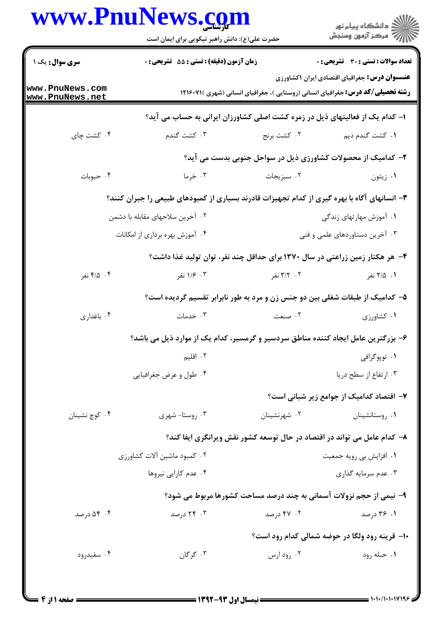## www.PnuNews.com

|                                    | www.PnuNews.com<br>حضرت علی(ع): دانش راهبر نیکویی برای ایمان است                             |                                                                                        | ڪ دانشڪاه پيام نور<br>(7 مرڪز آزمون وسنڊش              |  |  |
|------------------------------------|----------------------------------------------------------------------------------------------|----------------------------------------------------------------------------------------|--------------------------------------------------------|--|--|
| <b>سری سوال :</b> یک ۱             | <b>زمان آزمون (دقیقه) : تستی : 55 تشریحی : 0</b>                                             |                                                                                        | <b>تعداد سوالات : تستي : 30 ٪ تشريحي : 0</b>           |  |  |
| www.PnuNews.com<br>www.PnuNews.net |                                                                                              | <b>رشته تحصیلی/کد درس:</b> جغرافیای انسانی (روستایی )، جغرافیای انسانی (شهری )۷۱۶۰۷۱ ۱ | <b>عنــــوان درس:</b> جغرافیای اقتصادی ایران ۱کشاورزی  |  |  |
|                                    | ا– کدام یک از فعالیتهای ذیل در زمره کشت اصلی کشاورزان ایرانی به حساب می آید؟                 |                                                                                        |                                                        |  |  |
| ۰۴ کشت چای                         | ۰۳ کشت گندم                                                                                  | ۰۲ کشت برنج                                                                            | ۰۱ کشت گندم دیم                                        |  |  |
|                                    | ۲- کدامیک از محصولات کشاورزی ذیل در سواحل جنوبی بدست می آید؟                                 |                                                                                        |                                                        |  |  |
| ۰۴ حبوبات                          | ۰۳ خرما                                                                                      | ۰۲ سبزیجات                                                                             | ۰۱ زیتون                                               |  |  |
|                                    | ۳- انسانهای آگاه با بهره گیری از کدام تجهیزات قادرند بسیاری از کمبودهای طبیعی را جبران کنند؟ |                                                                                        |                                                        |  |  |
| ۰۲ آخرین سلاحهای مقابله با دشمن    |                                                                                              |                                                                                        | ۰۱ آموزش مهارتهای زندگی                                |  |  |
| ۰۴ آموزش بهره برداری از امکانات    |                                                                                              |                                                                                        | ۰۳ آخرین دستاوردهای علمی و فنی                         |  |  |
|                                    |                                                                                              | ۴- هر هکتار زمین زراعتی در سال ۱۳۷۰ برای حداقل چند نفر، توان تولید غذا داشت؟           |                                                        |  |  |
| ۴. ۴۱۵ نفر                         | ۰۳ ۱/۶ نفر                                                                                   | ۲. ۳/۲ نفر                                                                             | ۰۱ ۲/۵ نفر                                             |  |  |
|                                    | ۵– کدامیک از طبقات شغلی بین دو جنس زن و مرد به طور نابرابر تقسیم گردیده است؟                 |                                                                                        |                                                        |  |  |
| ۰۴ باغداری                         | ۰۳ خدمات                                                                                     | ۰۲ صنعت                                                                                | ۰۱ کشاورزی                                             |  |  |
|                                    | ۶– بزرگترین عامل ایجاد کننده مناطق سردسیر و گرمسیر، کدام یک از موارد ذیل می باشد؟            |                                                                                        |                                                        |  |  |
|                                    | ۰۲ اقلیم                                                                                     |                                                                                        | ۰۱ توپوگرافي                                           |  |  |
|                                    | ۰۴ طول و عرض جغرافیایی                                                                       |                                                                                        | ۰۳ ارتفاع از سطح دریا                                  |  |  |
|                                    |                                                                                              |                                                                                        | ۷– اقتصاد کدامیک از جوامع زیر شبانی است؟               |  |  |
| ۰۴ کوچ نشینان                      | ۰۳ روستا- شهری                                                                               | ۰۲ شهرنشینان                                                                           | ٠١ روستانشينان                                         |  |  |
|                                    |                                                                                              | ۸– کدام عامل می تواند در اقتصاد در حال توسعه کشور نقش ویرانگری ایفا کند؟               |                                                        |  |  |
|                                    | ۰۲ کمبود ماشین آلات کشاورزی                                                                  |                                                                                        | ۰۱ افزایش بی رویه جمعیت                                |  |  |
|                                    | ۰۴ عدم کارایی نیروها                                                                         |                                                                                        | ۰۳ عدم سرمایه گذاری                                    |  |  |
|                                    |                                                                                              | ۹- نیمی از حجم نزولات آسمانی به چند درصد مساحت کشورها مربوط می شود؟                    |                                                        |  |  |
| ۰۴ کا درصد                         | ۰۳ درصد                                                                                      | ۰۲ - ۴۷ درصد                                                                           | ۰۱ ۳۶ درصد                                             |  |  |
|                                    |                                                                                              |                                                                                        | <b>۱۰- قرینه رود ولگا در حوضه شمالی کدام رود است</b> ؟ |  |  |
| ۰۴ سفیدرود                         | ۰۳ گرگان                                                                                     | ۰۲ رود ارس                                                                             | ٠١. حبله رود                                           |  |  |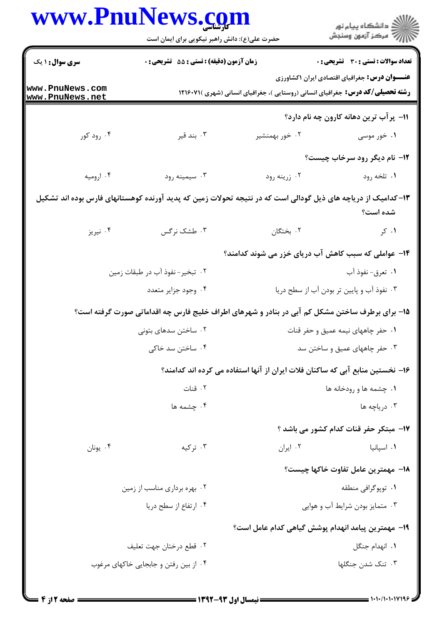| www.PnuNews.com                    |                                                                                                              |                                                                                        |                                                      |
|------------------------------------|--------------------------------------------------------------------------------------------------------------|----------------------------------------------------------------------------------------|------------------------------------------------------|
|                                    | حضرت علی(ع): دانش راهبر نیکویی برای ایمان است                                                                |                                                                                        |                                                      |
| <b>سری سوال : ۱ یک</b>             | زمان آزمون (دقیقه) : تستی : 55 آتشریحی : 0                                                                   |                                                                                        | <b>تعداد سوالات : تستي : 30 ٪ تشريحي : 0</b>         |
| www.PnuNews.com<br>www.PnuNews.net |                                                                                                              | <b>رشته تحصیلی/کد درس:</b> جغرافیای انسانی (روستایی )، جغرافیای انسانی (شهری )۲۱۶۰۷۱ ( | <b>عنـــوان درس:</b> جغرافیای اقتصادی ایران ۱کشاورزی |
|                                    |                                                                                                              |                                                                                        | 11- پر آب ترین دهانه کارون چه نام دارد؟              |
| ۰۴ رود کور                         | بند قير $\cdot$ ۳                                                                                            | ۰۲ خور بهمنشیر                                                                         | ۰۱ خور موسی                                          |
|                                    |                                                                                                              |                                                                                        | 12- نام دیگر رود سرخاب چیست؟                         |
| ۰۴ ارومیه                          | ۰۳ سیمینه رود                                                                                                | ۰۲ زرينه رود                                                                           | ۰۱ تلخه رود                                          |
|                                    | ۱۳–کدامیک از دریاچه های ذیل گودالی است که در نتیجه تحولات زمین که پدید آورنده کوهستانهای فارس بوده اند تشکیل |                                                                                        | شده است؟                                             |
| ۰۴ نیریز                           | ۰۳ طشک نرگس                                                                                                  | ٠٢ بختگان                                                                              | ۰۱ کر                                                |
|                                    |                                                                                                              | ۱۴– عواملی که سبب کاهش آب دریای خزر می شوند کدامند؟                                    |                                                      |
|                                    | ۰۲ تبخیر- نفوذ آب در طبقات زمین                                                                              |                                                                                        | ٠١ تعرق- نفوذ آب                                     |
|                                    | ۰۴ وجود جزایر متعدد                                                                                          |                                                                                        | ۰۳ نفوذ آب و پایین تر بودن آب از سطح دریا            |
|                                    | ۱۵– برای برطرف ساختن مشکل کم آبی در بنادر و شهرهای اطراف خلیج فارس چه اقداماتی صورت گرفته است؟               |                                                                                        |                                                      |
|                                    | ۰۲ ساختن سدهای بتونی                                                                                         |                                                                                        | ۰۱ حفر چاههای نیمه عمیق و حفر قنات                   |
|                                    | ۰۴ ساختن سد خاکی                                                                                             | ۰۳ حفر چاههای عمیق و ساختن سد                                                          |                                                      |
|                                    |                                                                                                              | ۱۶– نخستین منابع آبی که ساکنان فلات ایران از آنها استفاده می کرده اند کدامند؟          |                                                      |
|                                    | ٠٢ قنات                                                                                                      |                                                                                        | ۰۱ چشمه ها و رودخانه ها                              |
|                                    | ۰۴ چشمه ها                                                                                                   |                                                                                        | ۰۳ دریاچه ها                                         |
|                                    |                                                                                                              |                                                                                        | 17- مبتكر حفر قنات كدام كشور مى باشد ؟               |
| ۰۴ يونان                           | ۰۳ ترکیه                                                                                                     | ٠٢ ايران                                                                               | ۰۱ اسپانیا                                           |
|                                    |                                                                                                              |                                                                                        | 18– مهمترين عامل تفاوت خاكها چيست؟                   |
|                                    | ۰۲ بهره برداری مناسب از زمین                                                                                 |                                                                                        | ۰۱ توپوگرافی منطقه                                   |
|                                    | ۰۴ ارتفاع از سطح دریا                                                                                        |                                                                                        | ۰۳ متمایز بودن شرایط آب و هوایی                      |
|                                    |                                                                                                              | 1۹– مهمترين پيامد انهدام پوشش گياهي كدام عامل است؟                                     |                                                      |
|                                    | ۰۲ قطع درختان جهت تعليف                                                                                      |                                                                                        | ٠١. انهدام جنگل                                      |
|                                    | ۰۴ از بین رفتن و جابجایی خاکهای مرغوب                                                                        |                                                                                        | ۰۳ تنک شدن جنگلها                                    |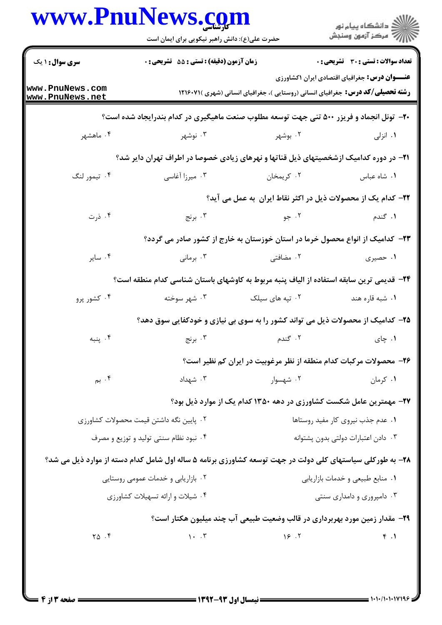|                                    | www.PnuNews.com<br>حضرت علی(ع): دانش راهبر نیکویی برای ایمان است                                          |                                                                                        | ِ<br>∭ دانشڪاه پيام نور<br>∭ مرڪز آزمون وسنڊش        |
|------------------------------------|-----------------------------------------------------------------------------------------------------------|----------------------------------------------------------------------------------------|------------------------------------------------------|
| <b>سری سوال : ۱ یک</b>             | زمان آزمون (دقیقه) : تستی : 55 آتشریحی : 0                                                                |                                                                                        | <b>تعداد سوالات : تستی : 30 ٪ تشریحی : 0</b>         |
| www.PnuNews.com<br>www.PnuNews.net |                                                                                                           | <b>رشته تحصیلی/کد درس:</b> جغرافیای انسانی (روستایی )، جغرافیای انسانی (شهری )۲۱۶۰۷۱ ( | <b>عنـــوان درس:</b> جغرافیای اقتصادی ایران ۱کشاورزی |
|                                    | <b>۲۰</b> - تونل انجماد و فریزر ۵۰۰ تنی جهت توسعه مطلوب صنعت ماهیگیری در کدام بندرایجاد شده است؟          |                                                                                        |                                                      |
| ۰۴ ماهشهر                          | ۰۳ نوشهر                                                                                                  | ۰۲ بوشهر                                                                               | ۰۱ انزلی                                             |
|                                    | <b>۲۱</b> - در دوره کدامیک ازشخصیتهای ذیل قناتها و نهرهای زیادی خصوصا در اطراف تهران دایر شد؟             |                                                                                        |                                                      |
| ۰۴ تيمور لنگ                       | ۰۳ میرزا آغاسی                                                                                            | ۰۲ کريمخان                                                                             | ٠١ شاه عباس                                          |
|                                    |                                                                                                           | <b>۲۲</b> – کدام یک از محصولات ذیل در اکثر نقاط ایران  به عمل می آید؟                  |                                                      |
| ۰۴ ذرت                             | ۰۳ برنج                                                                                                   | ۰۲ جو                                                                                  | ۰۱ گندم                                              |
|                                    |                                                                                                           | ۲۳– کدامیک از انواع محصول خرما در استان خوزستان به خارج از کشور صادر می گردد؟          |                                                      |
| ۰۴ ساير                            | ۰۳ برمانی                                                                                                 | ۲. مضافتی                                                                              | ۰۱ حصیری                                             |
|                                    | ۲۴− قدیمی ترین سابقه استفاده از الیاف پنبه مربوط به کاوشهای باستان شناسی کدام منطقه است؟                  |                                                                                        |                                                      |
| ۰۴ کشور پرو                        | ۰۳ شهر سوخته                                                                                              | ۰۲ تپه های سیلک                                                                        | ۰۱ شبه قاره هند                                      |
|                                    | ۲۵– کدامیک از محصولات ذیل می تواند کشور را به سوی بی نیازی و خودکفایی سوق دهد؟                            |                                                                                        |                                                      |
| ۰۴ پنبه                            | ۰۳ برنج                                                                                                   | ۰۲ گندم                                                                                | ۰۱ چای                                               |
|                                    |                                                                                                           | ۲۶- محصولات مرکبات کدام منطقه از نظر مرغوبیت در ایران کم نظیر است؟                     |                                                      |
| ۰۴ بم $\cdot$                      | ۰۳ شهداد                                                                                                  | ۰۲ شهسوار                                                                              | ۰۱ کرمان                                             |
|                                    |                                                                                                           | ۲۷- مهمترین عامل شکست کشاورزی در دهه ۱۳۵۰ کدام یک از موارد ذیل بود؟                    |                                                      |
|                                    | ٠٢ يايين نگه داشتن قيمت محصولات كشاورزى                                                                   |                                                                                        | ۰۱ عدم جذب نیروی کار مفید روستاها                    |
|                                    | ۰۴ نبود نظام سنتی تولید و توزیع و مصرف                                                                    |                                                                                        | ٠٣ دادن اعتبارات دولتي بدون پشتوانه                  |
|                                    | ۲۸- به طورکلی سیاستهای کلی دولت در جهت توسعه کشاورزی برنامه ۵ ساله اول شامل کدام دسته از موارد ذیل می شد؟ |                                                                                        |                                                      |
|                                    | ۰۲ بازاریابی و خدمات عمومی روستایی                                                                        |                                                                                        | ۰۱ منابع طبیعی و خدمات بازاریابی                     |
|                                    | ۰۴ شیلات و ارائه تسهیلات کشاورزی                                                                          |                                                                                        | ۰۳ دامپروری و دامداری سنتی                           |
|                                    |                                                                                                           | <b>۲۹</b> - مقدار زمین مورد بهربرداری در قالب وضعیت طبیعی آب چند میلیون هکتار است؟     |                                                      |
| $\Upsilon \Delta$ .                | $\bigwedge$ . $\uparrow$                                                                                  | 15.7                                                                                   | f.1                                                  |
|                                    |                                                                                                           |                                                                                        |                                                      |
|                                    |                                                                                                           |                                                                                        |                                                      |